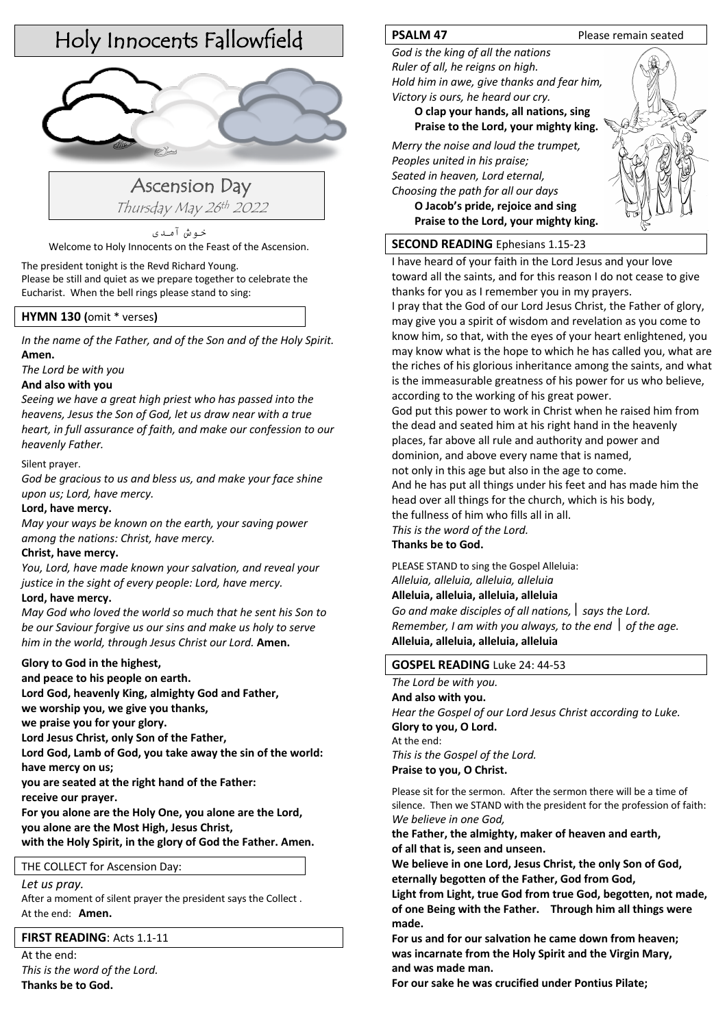# Holy Innocents Fallowfield



Ascension Day Thursday May 26th <sup>2022</sup>

خوش آمدی Welcome to Holy Innocents on the Feast of the Ascension.

The president tonight is the Revd Richard Young. Please be still and quiet as we prepare together to celebrate the Eucharist. When the bell rings please stand to sing:

# **HYMN 130 (**omit \* verses**)**

*In the name of the Father, and of the Son and of the Holy Spirit.*  **Amen.**

*The Lord be with you*

# **And also with you**

*Seeing we have a great high priest who has passed into the heavens, Jesus the Son of God, let us draw near with a true heart, in full assurance of faith, and make our confession to our heavenly Father.*

# Silent prayer.

*God be gracious to us and bless us, and make your face shine upon us; Lord, have mercy.* 

# **Lord, have mercy.**

*May your ways be known on the earth, your saving power among the nations: Christ, have mercy.* 

# **Christ, have mercy.**

*You, Lord, have made known your salvation, and reveal your justice in the sight of every people: Lord, have mercy.*

# **Lord, have mercy.**

*May God who loved the world so much that he sent his Son to be our Saviour forgive us our sins and make us holy to serve him in the world, through Jesus Christ our Lord.* **Amen.**

# **Glory to God in the highest,**

**and peace to his people on earth.** 

**Lord God, heavenly King, almighty God and Father,** 

**we worship you, we give you thanks,** 

**we praise you for your glory.** 

**Lord Jesus Christ, only Son of the Father,** 

**Lord God, Lamb of God, you take away the sin of the world: have mercy on us;** 

**you are seated at the right hand of the Father:** 

**receive our prayer.** 

**For you alone are the Holy One, you alone are the Lord, you alone are the Most High, Jesus Christ,** 

**with the Holy Spirit, in the glory of God the Father. Amen.**

# THE COLLECT for Ascension Day:

*Let us pray.* 

After a moment of silent prayer the president says the Collect . At the end: **Amen.**

# **FIRST READING**: Acts 1.1-11

At the end: *This is the word of the Lord.* **Thanks be to God.**

*God is the king of all the nations Ruler of all, he reigns on high. Hold him in awe, give thanks and fear him, Victory is ours, he heard our cry.*

> **O clap your hands, all nations, sing Praise to the Lord, your mighty king.**

*Merry the noise and loud the trumpet, Peoples united in his praise; Seated in heaven, Lord eternal, Choosing the path for all our days* **O Jacob's pride, rejoice and sing**

**Praise to the Lord, your mighty king.**

# **SECOND READING** Ephesians 1.15-23

I have heard of your faith in the Lord Jesus and your love toward all the saints, and for this reason I do not cease to give thanks for you as I remember you in my prayers.

I pray that the God of our Lord Jesus Christ, the Father of glory, may give you a spirit of wisdom and revelation as you come to know him, so that, with the eyes of your heart enlightened, you may know what is the hope to which he has called you, what are the riches of his glorious inheritance among the saints, and what is the immeasurable greatness of his power for us who believe, according to the working of his great power.

God put this power to work in Christ when he raised him from the dead and seated him at his right hand in the heavenly places, far above all rule and authority and power and dominion, and above every name that is named, not only in this age but also in the age to come.

And he has put all things under his feet and has made him the

head over all things for the church, which is his body,

the fullness of him who fills all in all.

*This is the word of the Lord.*

**Thanks be to God.**

PLEASE STAND to sing the Gospel Alleluia: *Alleluia, alleluia, alleluia, alleluia*

# **Alleluia, alleluia, alleluia, alleluia**

*Go and make disciples of all nations,*  $\vert$  *says the Lord. Remember, I am with you always, to the end \ of the age.* **Alleluia, alleluia, alleluia, alleluia**

# **GOSPEL READING** Luke 24: 44-53

*The Lord be with you.*

**And also with you.** *Hear the Gospel of our Lord Jesus Christ according to Luke.*  **Glory to you, O Lord.** At the end: *This is the Gospel of the Lord.*

**Praise to you, O Christ.**

Please sit for the sermon. After the sermon there will be a time of silence. Then we STAND with the president for the profession of faith: *We believe in one God,* 

# **the Father, the almighty, maker of heaven and earth, of all that is, seen and unseen.**

**We believe in one Lord, Jesus Christ, the only Son of God, eternally begotten of the Father, God from God,** 

**Light from Light, true God from true God, begotten, not made, of one Being with the Father. Through him all things were made.** 

**For us and for our salvation he came down from heaven; was incarnate from the Holy Spirit and the Virgin Mary, and was made man.**

**For our sake he was crucified under Pontius Pilate;**